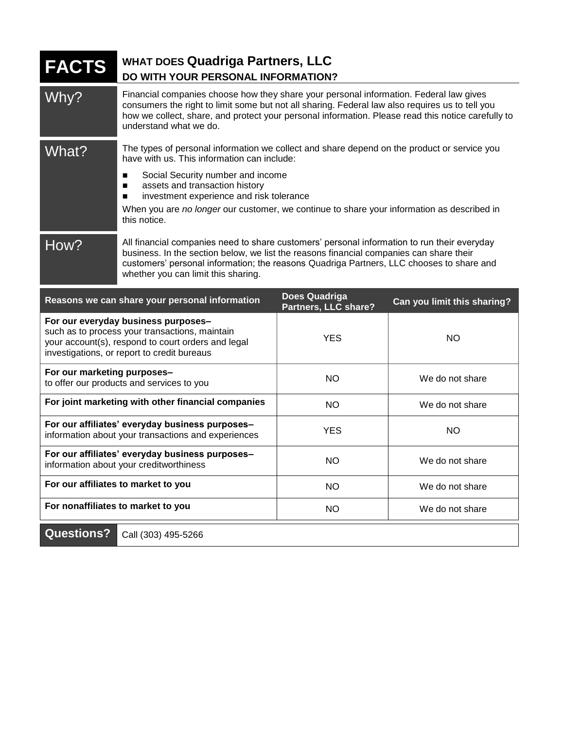| <b>FACTS</b>                                                                                                                                                                               | WHAT DOES Quadriga Partners, LLC<br>DO WITH YOUR PERSONAL INFORMATION?                                                                                                                                                                                                                                                                                                                     |                                              |                             |
|--------------------------------------------------------------------------------------------------------------------------------------------------------------------------------------------|--------------------------------------------------------------------------------------------------------------------------------------------------------------------------------------------------------------------------------------------------------------------------------------------------------------------------------------------------------------------------------------------|----------------------------------------------|-----------------------------|
| Why?                                                                                                                                                                                       | Financial companies choose how they share your personal information. Federal law gives<br>consumers the right to limit some but not all sharing. Federal law also requires us to tell you<br>how we collect, share, and protect your personal information. Please read this notice carefully to<br>understand what we do.                                                                  |                                              |                             |
| What?                                                                                                                                                                                      | The types of personal information we collect and share depend on the product or service you<br>have with us. This information can include:<br>Social Security number and income<br>п<br>assets and transaction history<br>п<br>investment experience and risk tolerance<br>п<br>When you are no longer our customer, we continue to share your information as described in<br>this notice. |                                              |                             |
| How?                                                                                                                                                                                       | All financial companies need to share customers' personal information to run their everyday<br>business. In the section below, we list the reasons financial companies can share their<br>customers' personal information; the reasons Quadriga Partners, LLC chooses to share and<br>whether you can limit this sharing.                                                                  |                                              |                             |
| Reasons we can share your personal information                                                                                                                                             |                                                                                                                                                                                                                                                                                                                                                                                            | <b>Does Quadriga</b><br>Partners, LLC share? | Can you limit this sharing? |
| For our everyday business purposes-<br>such as to process your transactions, maintain<br>your account(s), respond to court orders and legal<br>investigations, or report to credit bureaus |                                                                                                                                                                                                                                                                                                                                                                                            | <b>YES</b>                                   | <b>NO</b>                   |
| For our marketing purposes-<br>to offer our products and services to you                                                                                                                   |                                                                                                                                                                                                                                                                                                                                                                                            | <b>NO</b>                                    | We do not share             |
| For joint marketing with other financial companies                                                                                                                                         |                                                                                                                                                                                                                                                                                                                                                                                            | <b>NO</b>                                    | We do not share             |
| For our affiliates' everyday business purposes-<br>information about your transactions and experiences                                                                                     |                                                                                                                                                                                                                                                                                                                                                                                            | <b>YES</b>                                   | <b>NO</b>                   |
| For our affiliates' everyday business purposes-<br>information about your creditworthiness                                                                                                 |                                                                                                                                                                                                                                                                                                                                                                                            | <b>NO</b>                                    | We do not share             |
| For our affiliates to market to you                                                                                                                                                        |                                                                                                                                                                                                                                                                                                                                                                                            | <b>NO</b>                                    | We do not share             |
| For nonaffiliates to market to you                                                                                                                                                         |                                                                                                                                                                                                                                                                                                                                                                                            | <b>NO</b>                                    | We do not share             |
| <b>Questions?</b><br>Call (303) 495-5266                                                                                                                                                   |                                                                                                                                                                                                                                                                                                                                                                                            |                                              |                             |